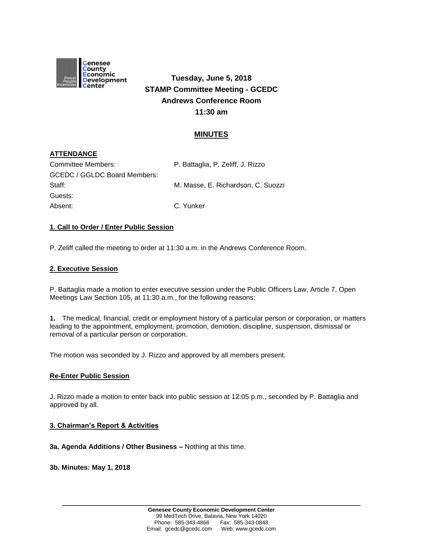

**Tuesday, June 5, 2018 STAMP Committee Meeting - GCEDC Andrews Conference Room 11:30 am**

# **MINUTES**

## **ATTENDANCE**

| Committee Members:                  | P. Battaglia, P. Zeliff, J. Rizzo  |
|-------------------------------------|------------------------------------|
| <b>GCEDC / GGLDC Board Members:</b> |                                    |
| Staff:                              | M. Masse, E. Richardson, C. Suozzi |
| Guests:                             |                                    |
| Absent:                             | C. Yunker                          |

## **1. Call to Order / Enter Public Session**

P. Zeliff called the meeting to order at 11:30 a.m. in the Andrews Conference Room.

## **2. Executive Session**

P. Battaglia made a motion to enter executive session under the Public Officers Law, Article 7, Open Meetings Law Section 105, at 11:30 a.m., for the following reasons:

**1.** The medical, financial, credit or employment history of a particular person or corporation, or matters leading to the appointment, employment, promotion, demotion, discipline, suspension, dismissal or removal of a particular person or corporation.

The motion was seconded by J. Rizzo and approved by all members present.

#### **Re-Enter Public Session**

J. Rizzo made a motion to enter back into public session at 12:05 p.m., seconded by P. Battaglia and approved by all.

#### **3. Chairman's Report & Activities**

**3a. Agenda Additions / Other Business –** Nothing at this time.

**3b. Minutes: May 1, 2018**

**\_\_\_\_\_\_\_\_\_\_\_\_\_\_\_\_\_\_\_\_\_\_\_\_\_\_\_\_\_\_\_\_\_\_\_\_\_\_\_\_\_\_\_\_\_\_\_\_\_\_\_\_\_\_\_\_\_\_\_\_\_\_\_\_\_\_\_\_\_\_\_\_**